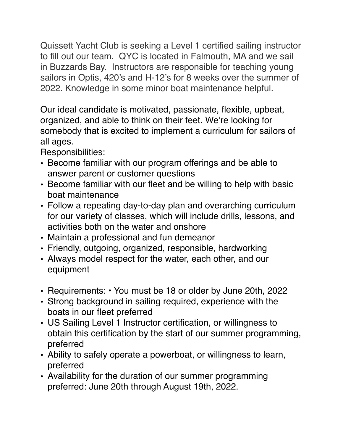Quissett Yacht Club is seeking a Level 1 certified sailing instructor to fill out our team. QYC is located in Falmouth, MA and we sail in Buzzards Bay. Instructors are responsible for teaching young sailors in Optis, 420's and H-12's for 8 weeks over the summer of 2022. Knowledge in some minor boat maintenance helpful.

Our ideal candidate is motivated, passionate, flexible, upbeat, organized, and able to think on their feet. We're looking for somebody that is excited to implement a curriculum for sailors of all ages.

Responsibilities:

- Become familiar with our program offerings and be able to answer parent or customer questions
- Become familiar with our fleet and be willing to help with basic boat maintenance
- Follow a repeating day-to-day plan and overarching curriculum for our variety of classes, which will include drills, lessons, and activities both on the water and onshore
- Maintain a professional and fun demeanor
- Friendly, outgoing, organized, responsible, hardworking
- Always model respect for the water, each other, and our equipment
- Requirements: You must be 18 or older by June 20th, 2022
- Strong background in sailing required, experience with the boats in our fleet preferred
- US Sailing Level 1 Instructor certification, or willingness to obtain this certification by the start of our summer programming, preferred
- Ability to safely operate a powerboat, or willingness to learn, preferred
- Availability for the duration of our summer programming preferred: June 20th through August 19th, 2022.